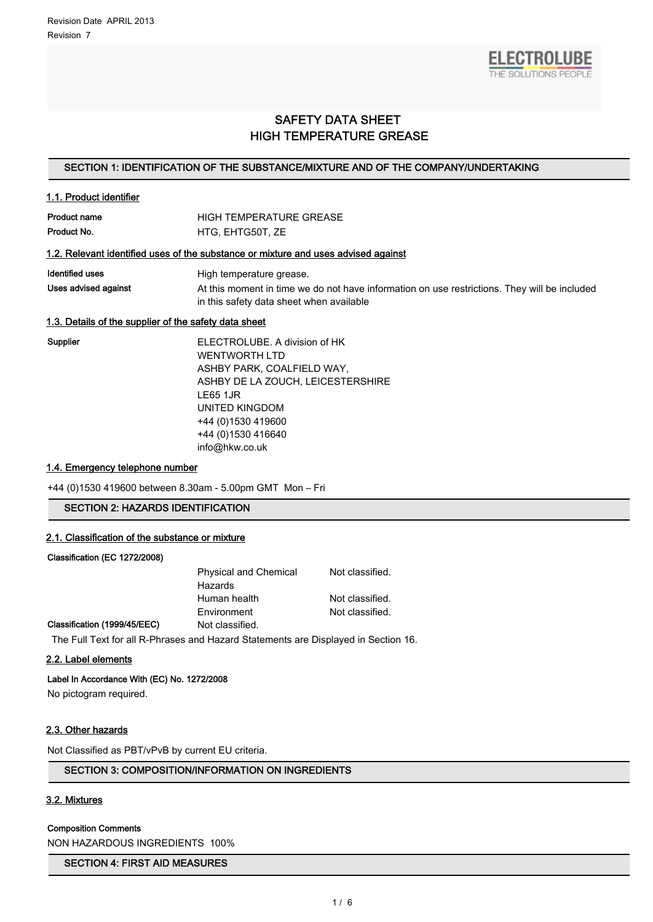

# SAFETY DATA SHEET HIGH TEMPERATURE GREASE

#### SECTION 1: IDENTIFICATION OF THE SUBSTANCE/MIXTURE AND OF THE COMPANY/UNDERTAKING

| 1.1. Product identifier                               |                                                                                                                                          |  |  |  |  |
|-------------------------------------------------------|------------------------------------------------------------------------------------------------------------------------------------------|--|--|--|--|
| Product name                                          | <b>HIGH TEMPERATURE GREASE</b>                                                                                                           |  |  |  |  |
| Product No.                                           | HTG, EHTG50T, ZE                                                                                                                         |  |  |  |  |
|                                                       | 1.2. Relevant identified uses of the substance or mixture and uses advised against                                                       |  |  |  |  |
| <b>Identified uses</b>                                | High temperature grease.                                                                                                                 |  |  |  |  |
| Uses advised against                                  | At this moment in time we do not have information on use restrictions. They will be included<br>in this safety data sheet when available |  |  |  |  |
| 1.3. Details of the supplier of the safety data sheet |                                                                                                                                          |  |  |  |  |
| Supplier                                              | ELECTROLUBE. A division of HK<br><b>WENTWORTH LTD</b>                                                                                    |  |  |  |  |
|                                                       | ASHBY PARK, COALFIELD WAY,                                                                                                               |  |  |  |  |
|                                                       | ASHBY DE LA ZOUCH, LEICESTERSHIRE                                                                                                        |  |  |  |  |

LE65 1JR UNITED KINGDOM +44 (0)1530 419600 +44 (0)1530 416640 info@hkw.co.uk

# 1.4. Emergency telephone number

+44 (0)1530 419600 between 8.30am - 5.00pm GMT Mon – Fri

# SECTION 2: HAZARDS IDENTIFICATION

#### 2.1. Classification of the substance or mixture

#### Classification (EC 1272/2008)

|                              | <b>Physical and Chemical</b><br>Hazards | Not classified. |
|------------------------------|-----------------------------------------|-----------------|
|                              | Human health                            | Not classified. |
|                              | Environment                             | Not classified. |
| Classification (1999/45/EEC) | Not classified.                         |                 |

# The Full Text for all R-Phrases and Hazard Statements are Displayed in Section 16.

#### 2.2. Label elements

# Label In Accordance With (EC) No. 1272/2008

No pictogram required.

## 2.3. Other hazards

Not Classified as PBT/vPvB by current EU criteria.

# SECTION 3: COMPOSITION/INFORMATION ON INGREDIENTS

# 3.2. Mixtures

#### Composition Comments

NON HAZARDOUS INGREDIENTS 100%

#### SECTION 4: FIRST AID MEASURES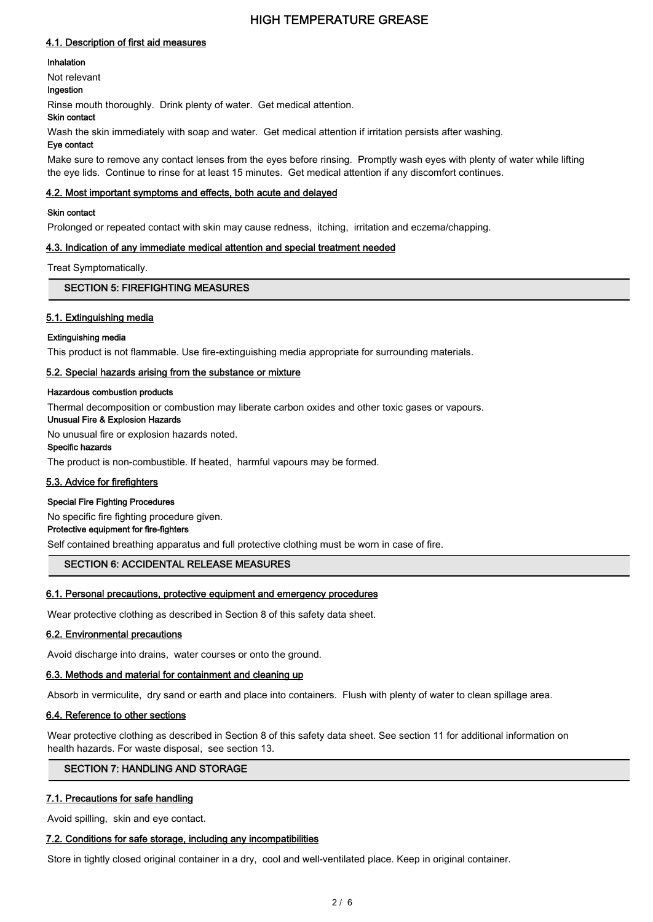#### 4.1. Description of first aid measures

#### Inhalation

Not relevant

# Ingestion

Rinse mouth thoroughly. Drink plenty of water. Get medical attention.

# Skin contact

Wash the skin immediately with soap and water. Get medical attention if irritation persists after washing.

# Eye contact

Make sure to remove any contact lenses from the eyes before rinsing. Promptly wash eyes with plenty of water while lifting the eye lids. Continue to rinse for at least 15 minutes. Get medical attention if any discomfort continues.

#### 4.2. Most important symptoms and effects, both acute and delayed

#### Skin contact

Prolonged or repeated contact with skin may cause redness, itching, irritation and eczema/chapping.

# 4.3. Indication of any immediate medical attention and special treatment needed

Treat Symptomatically.

#### SECTION 5: FIREFIGHTING MEASURES

# 5.1. Extinguishing media

#### Extinguishing media

This product is not flammable. Use fire-extinguishing media appropriate for surrounding materials.

# 5.2. Special hazards arising from the substance or mixture

#### Hazardous combustion products

Thermal decomposition or combustion may liberate carbon oxides and other toxic gases or vapours.

Unusual Fire & Explosion Hazards

No unusual fire or explosion hazards noted.

# Specific hazards

The product is non-combustible. If heated, harmful vapours may be formed.

# 5.3. Advice for firefighters

#### Special Fire Fighting Procedures

No specific fire fighting procedure given.

Protective equipment for fire-fighters

Self contained breathing apparatus and full protective clothing must be worn in case of fire.

# SECTION 6: ACCIDENTAL RELEASE MEASURES

# 6.1. Personal precautions, protective equipment and emergency procedures

Wear protective clothing as described in Section 8 of this safety data sheet.

#### 6.2. Environmental precautions

Avoid discharge into drains, water courses or onto the ground.

#### 6.3. Methods and material for containment and cleaning up

Absorb in vermiculite, dry sand or earth and place into containers. Flush with plenty of water to clean spillage area.

# 6.4. Reference to other sections

Wear protective clothing as described in Section 8 of this safety data sheet. See section 11 for additional information on health hazards. For waste disposal, see section 13.

# SECTION 7: HANDLING AND STORAGE

# 7.1. Precautions for safe handling

Avoid spilling, skin and eye contact.

# 7.2. Conditions for safe storage, including any incompatibilities

Store in tightly closed original container in a dry, cool and well-ventilated place. Keep in original container.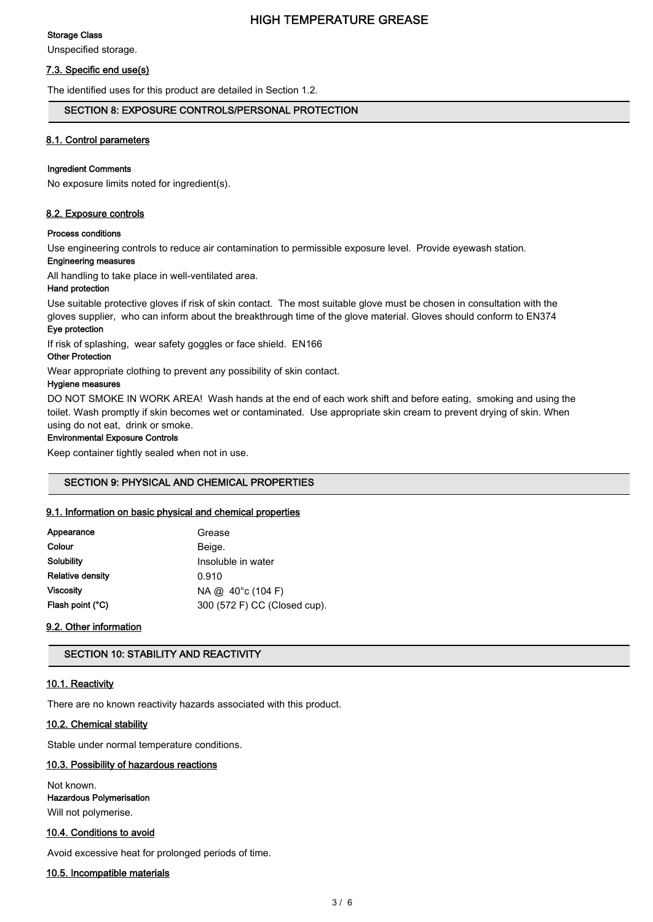# Storage Class

Unspecified storage.

# 7.3. Specific end use(s)

The identified uses for this product are detailed in Section 1.2.

# SECTION 8: EXPOSURE CONTROLS/PERSONAL PROTECTION

# 8.1. Control parameters

#### Ingredient Comments

No exposure limits noted for ingredient(s).

# 8.2. Exposure controls

#### Process conditions

Use engineering controls to reduce air contamination to permissible exposure level. Provide eyewash station.

# Engineering measures

All handling to take place in well-ventilated area.

# Hand protection

Use suitable protective gloves if risk of skin contact. The most suitable glove must be chosen in consultation with the gloves supplier, who can inform about the breakthrough time of the glove material. Gloves should conform to EN374 Eye protection

If risk of splashing, wear safety goggles or face shield. EN166

# Other Protection

Wear appropriate clothing to prevent any possibility of skin contact.

#### Hygiene measures

DO NOT SMOKE IN WORK AREA! Wash hands at the end of each work shift and before eating, smoking and using the toilet. Wash promptly if skin becomes wet or contaminated. Use appropriate skin cream to prevent drying of skin. When using do not eat, drink or smoke.

# Environmental Exposure Controls

Keep container tightly sealed when not in use.

# SECTION 9: PHYSICAL AND CHEMICAL PROPERTIES

# 9.1. Information on basic physical and chemical properties

| Appearance              | Grease                       |
|-------------------------|------------------------------|
| Colour                  | Beige.                       |
| <b>Solubility</b>       | Insoluble in water           |
| <b>Relative density</b> | 0.910                        |
| Viscosity               | $NA @. 40^{\circ}c (104 F)$  |
| Flash point (°C)        | 300 (572 F) CC (Closed cup). |
|                         |                              |

# 9.2. Other information

# SECTION 10: STABILITY AND REACTIVITY

# 10.1. Reactivity

There are no known reactivity hazards associated with this product.

# 10.2. Chemical stability

Stable under normal temperature conditions.

# 10.3. Possibility of hazardous reactions

Not known. Hazardous Polymerisation Will not polymerise.

# 10.4. Conditions to avoid

Avoid excessive heat for prolonged periods of time.

# 10.5. Incompatible materials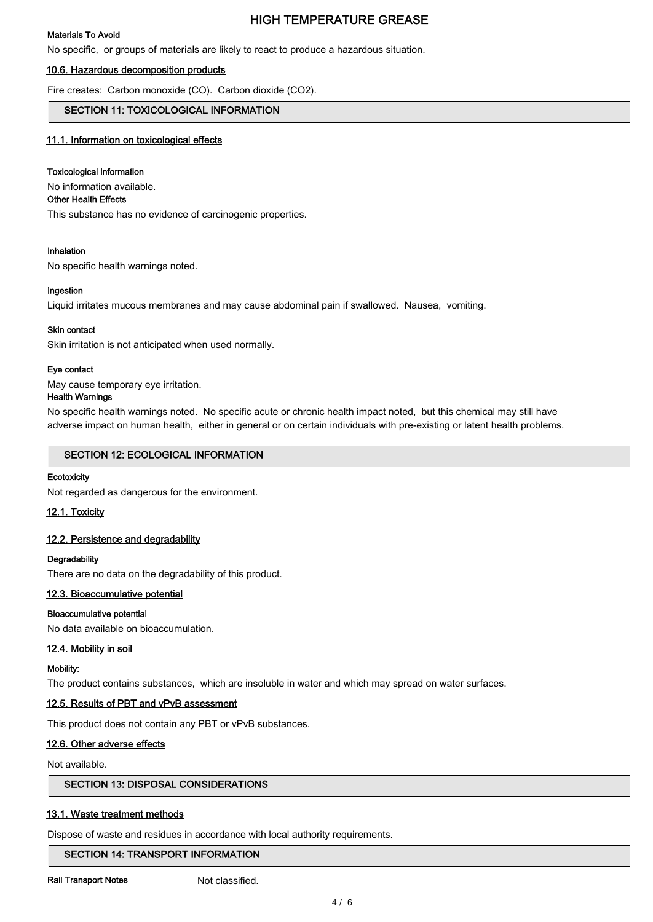#### Materials To Avoid

No specific, or groups of materials are likely to react to produce a hazardous situation.

#### 10.6. Hazardous decomposition products

Fire creates: Carbon monoxide (CO). Carbon dioxide (CO2).

# SECTION 11: TOXICOLOGICAL INFORMATION

#### 11.1. Information on toxicological effects

#### Toxicological information

No information available.

#### Other Health Effects

This substance has no evidence of carcinogenic properties.

#### Inhalation

No specific health warnings noted.

#### Ingestion

Liquid irritates mucous membranes and may cause abdominal pain if swallowed. Nausea, vomiting.

#### Skin contact

Skin irritation is not anticipated when used normally.

#### Eye contact

May cause temporary eye irritation.

#### Health Warnings

No specific health warnings noted. No specific acute or chronic health impact noted, but this chemical may still have adverse impact on human health, either in general or on certain individuals with pre-existing or latent health problems.

#### SECTION 12: ECOLOGICAL INFORMATION

#### **Ecotoxicity**

Not regarded as dangerous for the environment.

#### 12.1. Toxicity

# 12.2. Persistence and degradability

#### **Degradability**

There are no data on the degradability of this product.

# 12.3. Bioaccumulative potential

#### Bioaccumulative potential

No data available on bioaccumulation.

#### 12.4. Mobility in soil

## Mobility:

The product contains substances, which are insoluble in water and which may spread on water surfaces.

#### 12.5. Results of PBT and vPvB assessment

This product does not contain any PBT or vPvB substances.

#### 12.6. Other adverse effects

Not available.

# SECTION 13: DISPOSAL CONSIDERATIONS

# 13.1. Waste treatment methods

Dispose of waste and residues in accordance with local authority requirements.

#### SECTION 14: TRANSPORT INFORMATION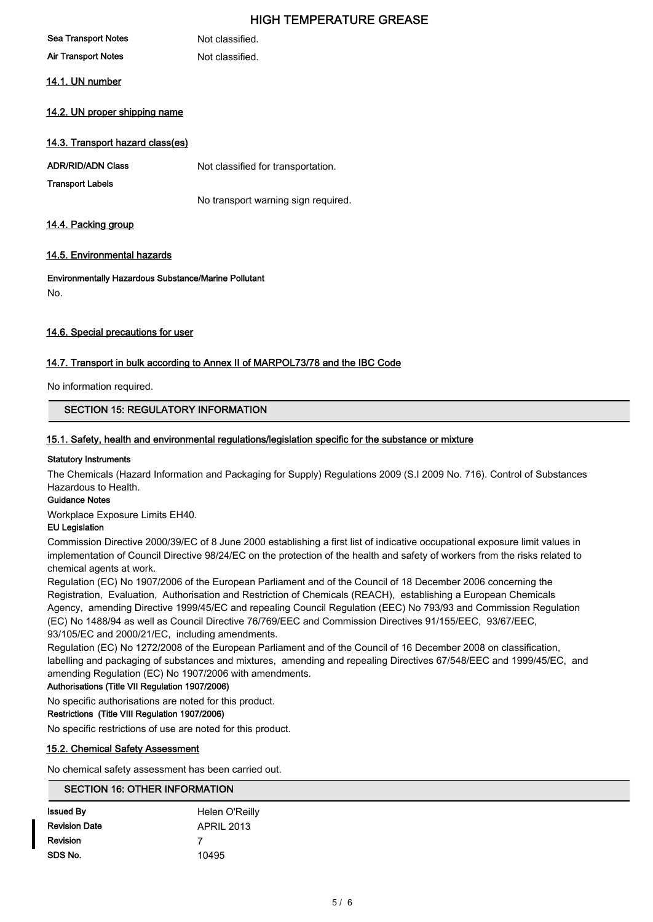| <b>Sea Transport Notes</b>       | Not classified.                 |
|----------------------------------|---------------------------------|
| <b>Air Transport Notes</b>       | Not classified.                 |
| 14.1. UN number                  |                                 |
| 14.2. UN proper shipping name    |                                 |
| 14.3. Transport hazard class(es) |                                 |
| <b>ADR/RID/ADN Class</b>         | Not classified for transportati |

Not classified for transportation.

No transport warning sign required.

14.4. Packing group

Transport Labels

# 14.5. Environmental hazards

Environmentally Hazardous Substance/Marine Pollutant No.

# 14.6. Special precautions for user

# 14.7. Transport in bulk according to Annex II of MARPOL73/78 and the IBC Code

No information required.

# SECTION 15: REGULATORY INFORMATION

#### 15.1. Safety, health and environmental regulations/legislation specific for the substance or mixture

#### Statutory Instruments

The Chemicals (Hazard Information and Packaging for Supply) Regulations 2009 (S.I 2009 No. 716). Control of Substances Hazardous to Health.

#### Guidance Notes

Workplace Exposure Limits EH40.

# EU Legislation

Commission Directive 2000/39/EC of 8 June 2000 establishing a first list of indicative occupational exposure limit values in implementation of Council Directive 98/24/EC on the protection of the health and safety of workers from the risks related to chemical agents at work.

Regulation (EC) No 1907/2006 of the European Parliament and of the Council of 18 December 2006 concerning the Registration, Evaluation, Authorisation and Restriction of Chemicals (REACH), establishing a European Chemicals Agency, amending Directive 1999/45/EC and repealing Council Regulation (EEC) No 793/93 and Commission Regulation (EC) No 1488/94 as well as Council Directive 76/769/EEC and Commission Directives 91/155/EEC, 93/67/EEC, 93/105/EC and 2000/21/EC, including amendments.

Regulation (EC) No 1272/2008 of the European Parliament and of the Council of 16 December 2008 on classification, labelling and packaging of substances and mixtures, amending and repealing Directives 67/548/EEC and 1999/45/EC, and amending Regulation (EC) No 1907/2006 with amendments.

Authorisations (Title VII Regulation 1907/2006)

No specific authorisations are noted for this product.

#### Restrictions (Title VIII Regulation 1907/2006)

No specific restrictions of use are noted for this product.

#### 15.2. Chemical Safety Assessment

No chemical safety assessment has been carried out.

# SECTION 16: OTHER INFORMATION

| <b>Issued By</b>     | Helen O'Reilly |
|----------------------|----------------|
| <b>Revision Date</b> | APRIL 2013     |
| Revision             |                |
| SDS No.              | 10495          |